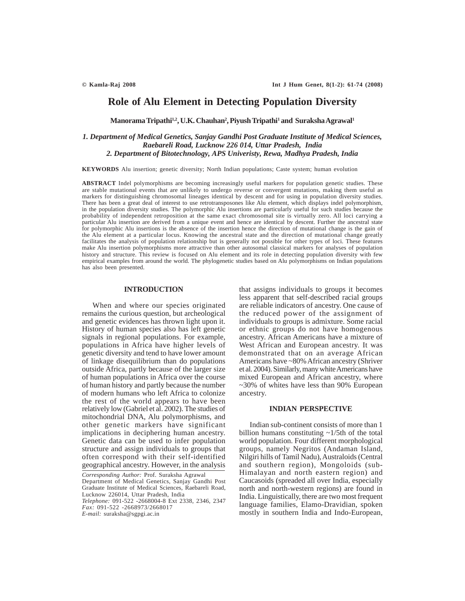# **Role of Alu Element in Detecting Population Diversity**

**Manorama Tripathi1,2, U.K. Chauhan2 , Piyush Tripathi1 and Suraksha Agrawal1**

# *1. Department of Medical Genetics, Sanjay Gandhi Post Graduate Institute of Medical Sciences, Raebareli Road, Lucknow 226 014, Uttar Pradesh, India 2. Department of Bitotechnology, APS Univeristy, Rewa, Madhya Pradesh, India*

**KEYWORDS** Alu insertion; genetic diversity; North Indian populations; Caste system; human evolution

**ABSTRACT** Indel polymorphisms are becoming increasingly useful markers for population genetic studies. These are stable mutational events that are unlikely to undergo reverse or convergent mutations, making them useful as markers for distinguishing chromosomal lineages identical by descent and for using in population diversity studies. There has been a great deal of interest to use retrotransposones like Alu element, which displays indel polymorphism, in the population diversity studies. The polymorphic Alu insertions are particularly useful for such studies because the probability of independent retroposition at the same exact chromosomal site is virtually zero. All loci carrying a particular Alu insertion are derived from a unique event and hence are identical by descent. Further the ancestral state for polymorphic Alu insertions is the absence of the insertion hence the direction of mutational change is the gain of the Alu element at a particular locus. Knowing the ancestral state and the direction of mutational change greatly facilitates the analysis of population relationship but is generally not possible for other types of loci. These features make Alu insertion polymorphisms more attractive than other autosomal classical markers for analyses of population history and structure. This review is focused on Alu element and its role in detecting population diversity with few empirical examples from around the world. The phylogenetic studies based on Alu polymorphisms on Indian populations has also been presented.

## **INTRODUCTION**

When and where our species originated remains the curious question, but archeological and genetic evidences has thrown light upon it. History of human species also has left genetic signals in regional populations. For example, populations in Africa have higher levels of genetic diversity and tend to have lower amount of linkage disequilibrium than do populations outside Africa, partly because of the larger size of human populations in Africa over the course of human history and partly because the number of modern humans who left Africa to colonize the rest of the world appears to have been relatively low (Gabriel et al. 2002). The studies of mitochondrial DNA, Alu polymorphisms, and other genetic markers have significant implications in deciphering human ancestry. Genetic data can be used to infer population structure and assign individuals to groups that often correspond with their self-identified geographical ancestry. However, in the analysis

*Corresponding Author:* Prof. Suraksha Agrawal Department of Medical Genetics, Sanjay Gandhi Post Graduate Institute of Medical Sciences, Raebareli Road, Lucknow 226014, Uttar Pradesh, India

*Telephone:* 091-522 -2668004-8 Ext 2338, 2346, 2347 *Fax:* 091-522 -2668973/2668017

that assigns individuals to groups it becomes less apparent that self-described racial groups are reliable indicators of ancestry. One cause of the reduced power of the assignment of individuals to groups is admixture. Some racial or ethnic groups do not have homogenous ancestry. African Americans have a mixture of West African and European ancestry. It was demonstrated that on an average African Americans have ~80% African ancestry (Shriver et al. 2004). Similarly, many white Americans have mixed European and African ancestry, where ~30% of whites have less than 90% European ancestry.

## **INDIAN PERSPECTIVE**

Indian sub-continent consists of more than 1 billion humans constituting  $\sim$ 1/5th of the total world population. Four different morphological groups, namely Negritos (Andaman Island, Nilgiri hills of Tamil Nadu), Australoids (Central and southern region), Mongoloids (sub-Himalayan and north eastern region) and Caucasoids (spreaded all over India, especially north and north-western regions) are found in India. Linguistically, there are two most frequent language families, Elamo-Dravidian, spoken mostly in southern India and Indo-European,

*E-mail:* suraksha@sgpgi.ac.in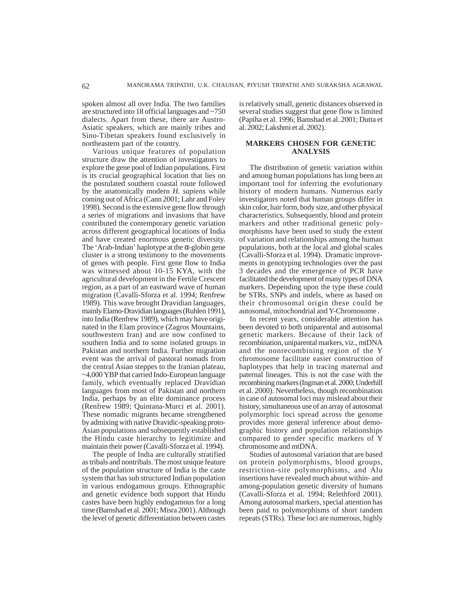spoken almost all over India. The two families are structured into 18 official languages and ~750 dialects. Apart from these, there are Austro-Asiatic speakers, which are mainly tribes and Sino-Tibetan speakers found exclusively in northeastern part of the country.

Various unique features of population structure draw the attention of investigators to explore the gene pool of Indian populations. First is its crucial geographical location that lies on the postulated southern coastal route followed by the anatomically modern *H. sapiens* while coming out of Africa (Cann 2001; Lahr and Foley 1998). Second is the extensive gene flow through a series of migrations and invasions that have contributed the contemporary genetic variation across different geographical locations of India and have created enormous genetic diversity. The 'Arab-Indian' haplotype at the  $\alpha$ -globin gene cluster is a strong testimony to the movements of genes with people. First gene flow to India was witnessed about 10-15 KYA, with the agricultural development in the Fertile Crescent region, as a part of an eastward wave of human migration (Cavalli-Sforza et al. 1994; Renfrew 1989). This wave brought Dravidian languages, mainly Elamo-Dravidian languages (Ruhlen 1991), into India (Renfrew 1989), which may have originated in the Elam province (Zagros Mountains, southwestern Iran) and are now confined to southern India and to some isolated groups in Pakistan and northern India. Further migration event was the arrival of pastoral nomads from the central Asian steppes to the Iranian plateau, ~4,000 YBP that carried Indo-European language family, which eventually replaced Dravidian languages from most of Pakistan and northern India, perhaps by an elite dominance process (Renfrew 1989; Quintana-Murci et al. 2001). These nomadic migrants became strengthened by admixing with native Dravidic-speaking proto-Asian populations and subsequently established the Hindu caste hierarchy to legitimize and maintain their power (Cavalli-Sforza et al. 1994).

The people of India are culturally stratified as tribals and nontribals. The most unique feature of the population structure of India is the caste system that has sub structured Indian population in various endogamous groups. Ethnographic and genetic evidence both support that Hindu castes have been highly endogamous for a long time (Bamshad et al. 2001; Misra 2001). Although the level of genetic differentiation between castes

is relatively small, genetic distances observed in several studies suggest that gene flow is limited (Papiha et al. 1996; Bamshad et al. 2001; Dutta et al. 2002; Lakshmi et al. 2002).

## **MARKERS CHOSEN FOR GENETIC ANALYSIS**

The distribution of genetic variation within and among human populations has long been an important tool for inferring the evolutionary history of modern humans. Numerous early investigators noted that human groups differ in skin color, hair form, body size, and other physical characteristics. Subsequently, blood and protein markers and other traditional genetic polymorphisms have been used to study the extent of variation and relationships among the human populations, both at the local and global scales (Cavalli-Sforza et al. 1994). Dramatic improvements in genotyping technologies over the past 3 decades and the emergence of PCR have facilitated the development of many types of DNA markers. Depending upon the type these could be STRs, SNPs and indels, where as based on their chromosomal origin these could be autosomal, mitochondrial and Y-Chromosome .

In recent years, considerable attention has been devoted to both uniparental and autosomal genetic markers. Because of their lack of recombination, uniparental markers, viz., mtDNA and the nonrecombining region of the Y chromosome facilitate easier construction of haplotypes that help in tracing maternal and paternal lineages. This is not the case with the recombining markers (Ingman et al. 2000; Underhill et al. 2000). Nevertheless, though recombination in case of autosomal loci may mislead about their history, simultaneous use of an array of autosomal polymorphic loci spread across the genome provides more general inference about demographic history and population relationships compared to gender specific markers of Y chromosome and mtDNA.

Studies of autosomal variation that are based on protein polymorphisms, blood groups, restriction-site polymorphisms, and Alu insertions have revealed much about within- and among-population genetic diversity of humans (Cavalli-Sforza et al. 1994; Relethford 2001). Among autosomal markers, special attention has been paid to polymorphisms of short tandem repeats (STRs). These loci are numerous, highly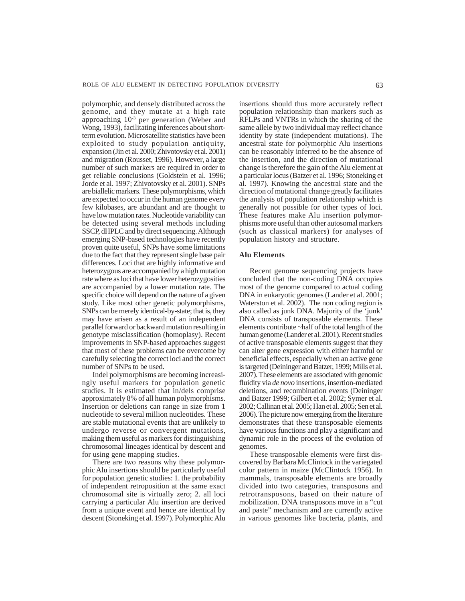polymorphic, and densely distributed across the genome, and they mutate at a high rate approaching  $10^{-3}$  per generation (Weber and Wong, 1993), facilitating inferences about shortterm evolution. Microsatellite statistics have been exploited to study population antiquity, expansion (Jin et al. 2000; Zhivotovsky et al. 2001) and migration (Rousset, 1996). However, a large number of such markers are required in order to get reliable conclusions (Goldstein et al. 1996; Jorde et al. 1997; Zhivotovsky et al. 2001). SNPs are biallelic markers. These polymorphisms, which are expected to occur in the human genome every few kilobases, are abundant and are thought to have low mutation rates. Nucleotide variability can be detected using several methods including SSCP, dHPLC and by direct sequencing. Although emerging SNP-based technologies have recently proven quite useful, SNPs have some limitations due to the fact that they represent single base pair differences. Loci that are highly informative and heterozygous are accompanied by a high mutation rate where as loci that have lower heterozygosities are accompanied by a lower mutation rate. The specific choice will depend on the nature of a given study. Like most other genetic polymorphisms, SNPs can be merely identical-by-state; that is, they may have arisen as a result of an independent parallel forward or backward mutation resulting in genotype misclassification (homoplasy). Recent improvements in SNP-based approaches suggest that most of these problems can be overcome by carefully selecting the correct loci and the correct number of SNPs to be used.

Indel polymorphisms are becoming increasingly useful markers for population genetic studies. It is estimated that in/dels comprise approximately 8% of all human polymorphisms. Insertion or deletions can range in size from 1 nucleotide to several million nucleotides. These are stable mutational events that are unlikely to undergo reverse or convergent mutations, making them useful as markers for distinguishing chromosomal lineages identical by descent and for using gene mapping studies.

There are two reasons why these polymorphic Alu insertions should be particularly useful for population genetic studies: 1. the probability of independent retroposition at the same exact chromosomal site is virtually zero; 2. all loci carrying a particular Alu insertion are derived from a unique event and hence are identical by descent (Stoneking et al. 1997). Polymorphic Alu insertions should thus more accurately reflect population relationship than markers such as RFLPs and VNTRs in which the sharing of the same allele by two individual may reflect chance identity by state (independent mutations). The ancestral state for polymorphic Alu insertions can be reasonably inferred to be the absence of the insertion, and the direction of mutational change is therefore the gain of the Alu element at a particular locus (Batzer et al. 1996; Stoneking et al. 1997). Knowing the ancestral state and the direction of mutational change greatly facilitates the analysis of population relationship which is generally not possible for other types of loci. These features make Alu insertion polymorphisms more useful than other autosomal markers (such as classical markers) for analyses of population history and structure.

#### **Alu Elements**

Recent genome sequencing projects have concluded that the non-coding DNA occupies most of the genome compared to actual coding DNA in eukaryotic genomes (Lander et al. 2001; Waterston et al. 2002). The non coding region is also called as junk DNA. Majority of the 'junk' DNA consists of transposable elements. These elements contribute ~half of the total length of the human genome (Lander et al. 2001). Recent studies of active transposable elements suggest that they can alter gene expression with either harmful or beneficial effects, especially when an active gene is targeted (Deininger and Batzer, 1999; Mills et al. 2007). These elements are associated with genomic fluidity via *de novo* insertions, insertion-mediated deletions, and recombination events (Deininger and Batzer 1999; Gilbert et al. 2002; Symer et al. 2002; Callinan et al. 2005; Han et al. 2005; Sen et al. 2006). The picture now emerging from the literature demonstrates that these transposable elements have various functions and play a significant and dynamic role in the process of the evolution of genomes.

These transposable elements were first discovered by Barbara McClintock in the variegated color pattern in maize (McClintock 1956). In mammals, transposable elements are broadly divided into two categories, transposons and retrotransposons, based on their nature of mobilization. DNA transposons move in a "cut and paste" mechanism and are currently active in various genomes like bacteria, plants, and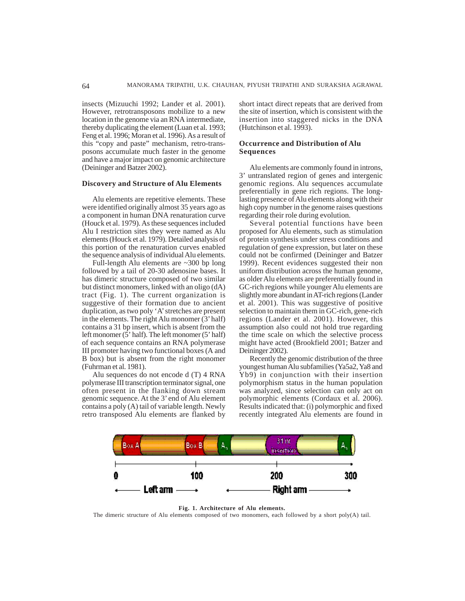insects (Mizuuchi 1992; Lander et al. 2001). However, retrotransposons mobilize to a new location in the genome via an RNA intermediate, thereby duplicating the element (Luan et al. 1993; Feng et al. 1996; Moran et al. 1996). As a result of this "copy and paste" mechanism, retro-transposons accumulate much faster in the genome and have a major impact on genomic architecture (Deininger and Batzer 2002).

## **Discovery and Structure of Alu Elements**

Alu elements are repetitive elements. These were identified originally almost 35 years ago as a component in human DNA renaturation curve (Houck et al. 1979). As these sequences included Alu I restriction sites they were named as Alu elements (Houck et al. 1979). Detailed analysis of this portion of the renaturation curves enabled the sequence analysis of individual Alu elements.

Full-length Alu elements are ~300 bp long followed by a tail of 20-30 adenosine bases. It has dimeric structure composed of two similar but distinct monomers, linked with an oligo (dA) tract (Fig. 1). The current organization is suggestive of their formation due to ancient duplication, as two poly 'A' stretches are present in the elements. The right Alu monomer (3' half) contains a 31 bp insert, which is absent from the left monomer (5' half). The left monomer (5' half) of each sequence contains an RNA polymerase III promoter having two functional boxes (A and B box) but is absent from the right monomer (Fuhrman et al. 1981).

Alu sequences do not encode d (T) 4 RNA polymerase III transcription terminator signal, one often present in the flanking down stream genomic sequence. At the 3' end of Alu element contains a poly (A) tail of variable length. Newly retro transposed Alu elements are flanked by

short intact direct repeats that are derived from the site of insertion, which is consistent with the insertion into staggered nicks in the DNA (Hutchinson et al. 1993).

## **Occurrence and Distribution of Alu Sequences**

Alu elements are commonly found in introns, 3' untranslated region of genes and intergenic genomic regions. Alu sequences accumulate preferentially in gene rich regions. The longlasting presence of Alu elements along with their high copy number in the genome raises questions regarding their role during evolution.

Several potential functions have been proposed for Alu elements, such as stimulation of protein synthesis under stress conditions and regulation of gene expression, but later on these could not be confirmed (Deininger and Batzer 1999). Recent evidences suggested their non uniform distribution across the human genome, as older Alu elements are preferentially found in GC-rich regions while younger Alu elements are slightly more abundant in AT-rich regions (Lander et al. 2001). This was suggestive of positive selection to maintain them in GC-rich, gene-rich regions (Lander et al. 2001). However, this assumption also could not hold true regarding the time scale on which the selective process might have acted (Brookfield 2001; Batzer and Deininger 2002).

Recently the genomic distribution of the three youngest human Alu subfamilies (Ya5a2, Ya8 and Yb9) in conjunction with their insertion polymorphism status in the human population was analyzed, since selection can only act on polymorphic elements (Cordaux et al. 2006). Results indicated that: (i) polymorphic and fixed recently integrated Alu elements are found in



**Fig. 1. Architecture of Alu elements.**

The dimeric structure of Alu elements composed of two monomers, each followed by a short poly(A) tail.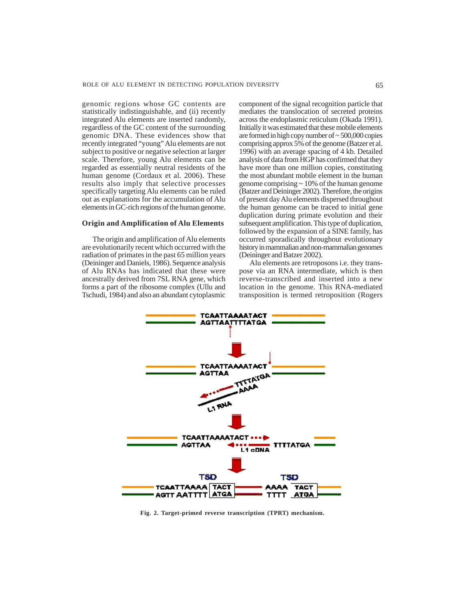genomic regions whose GC contents are statistically indistinguishable, and (ii) recently integrated Alu elements are inserted randomly, regardless of the GC content of the surrounding genomic DNA. These evidences show that recently integrated "young" Alu elements are not subject to positive or negative selection at larger scale. Therefore, young Alu elements can be regarded as essentially neutral residents of the human genome (Cordaux et al. 2006). These results also imply that selective processes specifically targeting Alu elements can be ruled out as explanations for the accumulation of Alu elements in GC-rich regions of the human genome.

#### **Origin and Amplification of Alu Elements**

The origin and amplification of Alu elements are evolutionarily recent which occurred with the radiation of primates in the past 65 million years (Deininger and Daniels, 1986). Sequence analysis of Alu RNAs has indicated that these were ancestrally derived from 7SL RNA gene, which forms a part of the ribosome complex (Ullu and Tschudi, 1984) and also an abundant cytoplasmic component of the signal recognition particle that mediates the translocation of secreted proteins across the endoplasmic reticulum (Okada 1991). Initially it was estimated that these mobile elements are formed in high copy number of  $\sim$  500,000 copies comprising approx 5% of the genome (Batzer et al. 1996) with an average spacing of 4 kb. Detailed analysis of data from HGP has confirmed that they have more than one million copies, constituting the most abundant mobile element in the human genome comprising  $\sim$  10% of the human genome (Batzer and Deininger 2002). Therefore, the origins of present day Alu elements dispersed throughout the human genome can be traced to initial gene duplication during primate evolution and their subsequent amplification. This type of duplication, followed by the expansion of a SINE family, has occurred sporadically throughout evolutionary history in mammalian and non-mammalian genomes (Deininger and Batzer 2002).

Alu elements are retroposons i.e. they transpose via an RNA intermediate, which is then reverse-transcribed and inserted into a new location in the genome. This RNA-mediated transposition is termed retroposition (Rogers



**Fig. 2. Target-primed reverse transcription (TPRT) mechanism.**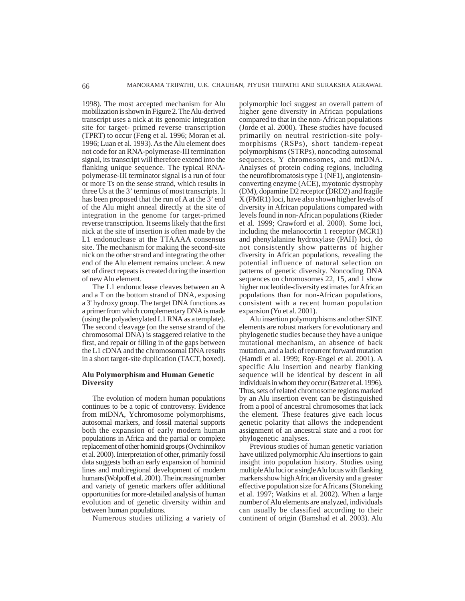1998). The most accepted mechanism for Alu mobilization is shown in Figure 2. The Alu-derived transcript uses a nick at its genomic integration site for target- primed reverse transcription (TPRT) to occur (Feng et al. 1996; Moran et al. 1996; Luan et al. 1993). As the Alu element does not code for an RNA-polymerase-III termination signal, its transcript will therefore extend into the flanking unique sequence. The typical RNApolymerase-III terminator signal is a run of four or more Ts on the sense strand, which results in three Us at the 3' terminus of most transcripts. It has been proposed that the run of A at the 3' end of the Alu might anneal directly at the site of integration in the genome for target-primed reverse transcription. It seems likely that the first nick at the site of insertion is often made by the L1 endonuclease at the TTAAAA consensus site. The mechanism for making the second-site nick on the other strand and integrating the other end of the Alu element remains unclear. A new set of direct repeats is created during the insertion of new Alu element.

The L1 endonuclease cleaves between an A and a T on the bottom strand of DNA, exposing a 3' hydroxy group. The target DNA functions as a primer from which complementary DNA is made (using the polyadenylated L1 RNA as a template). The second cleavage (on the sense strand of the chromosomal DNA) is staggered relative to the first, and repair or filling in of the gaps between the L1 cDNA and the chromosomal DNA results in a short target-site duplication (TACT, boxed).

# **Alu Polymorphism and Human Genetic Diversity**

The evolution of modern human populations continues to be a topic of controversy. Evidence from mtDNA, Ychromosome polymorphisms, autosomal markers, and fossil material supports both the expansion of early modern human populations in Africa and the partial or complete replacement of other hominid groups (Ovchinnikov et al. 2000). Interpretation of other, primarily fossil data suggests both an early expansion of hominid lines and multiregional development of modern humans (Wolpoff et al. 2001). The increasing number and variety of genetic markers offer additional opportunities for more-detailed analysis of human evolution and of genetic diversity within and between human populations.

Numerous studies utilizing a variety of

polymorphic loci suggest an overall pattern of higher gene diversity in African populations compared to that in the non-African populations (Jorde et al. 2000). These studies have focused primarily on neutral restriction-site polymorphisms (RSPs), short tandem-repeat polymorphisms (STRPs), noncoding autosomal sequences, Y chromosomes, and mtDNA. Analyses of protein coding regions, including the neurofibromatosis type 1 (NF1), angiotensinconverting enzyme (ACE), myotonic dystrophy (DM), dopamine D2 receptor (DRD2) and fragile X (FMR1) loci, have also shown higher levels of diversity in African populations compared with levels found in non-African populations (Rieder et al. 1999; Crawford et al. 2000). Some loci, including the melanocortin 1 receptor (MCR1) and phenylalanine hydroxylase (PAH) loci, do not consistently show patterns of higher diversity in African populations, revealing the potential influence of natural selection on patterns of genetic diversity. Noncoding DNA sequences on chromosomes 22, 15, and 1 show higher nucleotide-diversity estimates for African populations than for non-African populations, consistent with a recent human population expansion (Yu et al. 2001).

Alu insertion polymorphisms and other SINE elements are robust markers for evolutionary and phylogenetic studies because they have a unique mutational mechanism, an absence of back mutation, and a lack of recurrent forward mutation (Hamdi et al. 1999; Roy-Engel et al. 2001). A specific Alu insertion and nearby flanking sequence will be identical by descent in all individuals in whom they occur (Batzer et al. 1996). Thus, sets of related chromosome regions marked by an Alu insertion event can be distinguished from a pool of ancestral chromosomes that lack the element. These features give each locus genetic polarity that allows the independent assignment of an ancestral state and a root for phylogenetic analyses.

Previous studies of human genetic variation have utilized polymorphic Alu insertions to gain insight into population history. Studies using multiple Alu loci or a single Alu locus with flanking markers show high African diversity and a greater effective population size for Africans (Stoneking et al. 1997; Watkins et al. 2002). When a large number of Alu elements are analyzed, individuals can usually be classified according to their continent of origin (Bamshad et al. 2003). Alu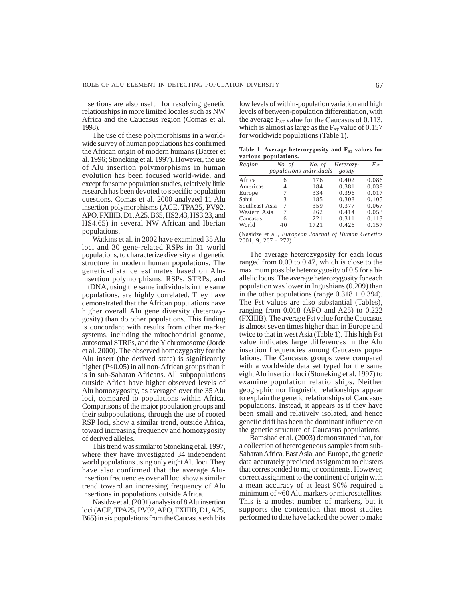insertions are also useful for resolving genetic relationships in more limited locales such as NW Africa and the Caucasus region (Comas et al. 1998).

The use of these polymorphisms in a worldwide survey of human populations has confirmed the African origin of modern humans (Batzer et al. 1996; Stoneking et al. 1997). However, the use of Alu insertion polymorphisms in human evolution has been focused world-wide, and except for some population studies, relatively little research has been devoted to specific population questions. Comas et al. 2000 analyzed 11 Alu insertion polymorphisms (ACE, TPA25, PV92, APO, FXIIIB, D1, A25, B65, HS2.43, HS3.23, and HS4.65) in several NW African and Iberian populations.

Watkins et al. in 2002 have examined 35 Alu loci and 30 gene-related RSPs in 31 world populations, to characterize diversity and genetic structure in modern human populations. The genetic-distance estimates based on Aluinsertion polymorphisms, RSPs, STRPs, and mtDNA, using the same individuals in the same populations, are highly correlated. They have demonstrated that the African populations have higher overall Alu gene diversity (heterozygosity) than do other populations. This finding is concordant with results from other marker systems, including the mitochondrial genome, autosomal STRPs, and the Y chromosome (Jorde et al. 2000). The observed homozygosity for the Alu insert (the derived state) is significantly higher (P<0.05) in all non-African groups than it is in sub-Saharan Africans. All subpopulations outside Africa have higher observed levels of Alu homozygosity, as averaged over the 35 Alu loci, compared to populations within Africa. Comparisons of the major population groups and their subpopulations, through the use of rooted RSP loci, show a similar trend, outside Africa, toward increasing frequency and homozygosity of derived alleles.

This trend was similar to Stoneking et al. 1997, where they have investigated 34 independent world populations using only eight Alu loci. They have also confirmed that the average Aluinsertion frequencies over all loci show a similar trend toward an increasing frequency of Alu insertions in populations outside Africa.

Nasidze et al. (2001) analysis of 8 Alu insertion loci (ACE, TPA25, PV92, APO, FXIIIB, D1, A25, B65) in six populations from the Caucasus exhibits

low levels of within-population variation and high levels of between-population differentiation, with the average  $F_{ST}$  value for the Caucasus of 0.113, which is almost as large as the  $F_{ST}$  value of 0.157 for worldwide populations (Table 1).

Table 1: Average heterozygosity and F<sub>ST</sub> values for **various populations.**

| Region         | No. of | No. of<br>populations individuals | Heterozy-<br>gosity | $F_{ST}$ |
|----------------|--------|-----------------------------------|---------------------|----------|
| Africa         | 6      | 176                               | 0.402               | 0.086    |
| Americas       | 4      | 184                               | 0.381               | 0.038    |
| Europe         | 7      | 334                               | 0.396               | 0.017    |
| Sahul          | 3      | 185                               | 0.308               | 0.105    |
| Southeast Asia | 7      | 359                               | 0.377               | 0.067    |
| Western Asia   | 7      | 262                               | 0.414               | 0.053    |
| Caucasus       | 6      | 221                               | 0.311               | 0.113    |
| World          | 40     | 1721                              | 0.426               | 0.157    |

(Nasidze et al., *European Journal of Human Genetics* 2001, 9, 267 - 272)

The average heterozygosity for each locus ranged from 0.09 to 0.47, which is close to the maximum possible heterozygosity of 0.5 for a biallelic locus. The average heterozygosity for each population was lower in Ingushians (0.209) than in the other populations (range  $0.318 \pm 0.394$ ). The Fst values are also substantial (Tables), ranging from 0.018 (APO and A25) to 0.222 (FXIIIB). The average Fst value for the Caucasus is almost seven times higher than in Europe and twice to that in west Asia (Table 1). This high Fst value indicates large differences in the Alu insertion frequencies among Caucasus populations. The Caucasus groups were compared with a worldwide data set typed for the same eight Alu insertion loci (Stoneking et al. 1997) to examine population relationships. Neither geographic nor linguistic relationships appear to explain the genetic relationships of Caucasus populations. Instead, it appears as if they have been small and relatively isolated, and hence genetic drift has been the dominant influence on the genetic structure of Caucasus populations.

Bamshad et al. (2003) demonstrated that, for a collection of heterogeneous samples from sub-Saharan Africa, East Asia, and Europe, the genetic data accurately predicted assignment to clusters that corresponded to major continents. However, correct assignment to the continent of origin with a mean accuracy of at least 90% required a minimum of ~60 Alu markers or microsatellites. This is a modest number of markers, but it supports the contention that most studies performed to date have lacked the power to make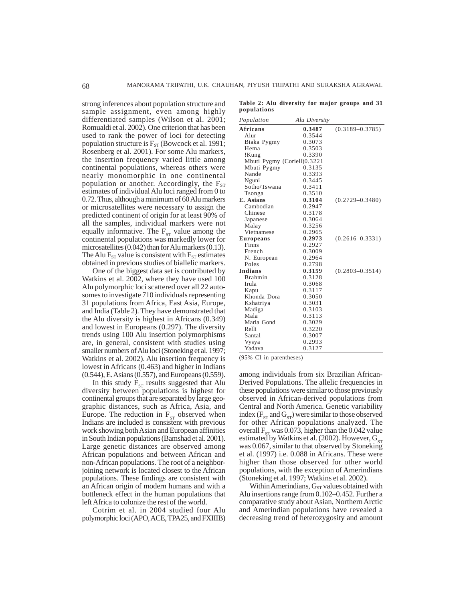strong inferences about population structure and sample assignment, even among highly differentiated samples (Wilson et al. 2001; Romualdi et al. 2002). One criterion that has been used to rank the power of loci for detecting population structure is  $F_{ST}$  (Bowcock et al. 1991; Rosenberg et al. 2001). For some Alu markers, the insertion frequency varied little among continental populations, whereas others were nearly monomorphic in one continental population or another. Accordingly, the  $F_{ST}$ estimates of individual Alu loci ranged from 0 to 0.72. Thus, although a minimum of 60 Alu markers or microsatellites were necessary to assign the predicted continent of origin for at least 90% of all the samples, individual markers were not equally informative. The  $F_{ST}$  value among the continental populations was markedly lower for microsatellites (0.042) than for Alu markers (0.13). The Alu  $F_{ST}$  value is consistent with  $F_{ST}$  estimates obtained in previous studies of biallelic markers.

One of the biggest data set is contributed by Watkins et al. 2002, where they have used 100 Alu polymorphic loci scattered over all 22 autosomes to investigate 710 individuals representing 31 populations from Africa, East Asia, Europe, and India (Table 2). They have demonstrated that the Alu diversity is highest in Africans (0.349) and lowest in Europeans (0.297). The diversity trends using 100 Alu insertion polymorphisms are, in general, consistent with studies using smaller numbers of Alu loci (Stoneking et al. 1997; Watkins et al. 2002). Alu insertion frequency is lowest in Africans (0.463) and higher in Indians (0.544), E. Asians (0.557), and Europeans (0.559).

In this study  $F_{ST}$  results suggested that Alu diversity between populations is highest for continental groups that are separated by large geographic distances, such as Africa, Asia, and Europe. The reduction in  $F_{ST}$  observed when Indians are included is consistent with previous work showing both Asian and European affinities in South Indian populations (Bamshad et al. 2001). Large genetic distances are observed among African populations and between African and non-African populations. The root of a neighborjoining network is located closest to the African populations. These findings are consistent with an African origin of modern humans and with a bottleneck effect in the human populations that left Africa to colonize the rest of the world.

Cotrim et al. in 2004 studied four Alu polymorphic loci (APO, ACE, TPA25, and FXIIIB)

|             |  | Table 2: Alu diversity for major groups and 31 |  |  |  |
|-------------|--|------------------------------------------------|--|--|--|
| populations |  |                                                |  |  |  |

| Population                  | Alu Diversity |                     |
|-----------------------------|---------------|---------------------|
| <b>Africans</b>             | 0.3487        | $(0.3189 - 0.3785)$ |
| Alur                        | 0.3544        |                     |
| Biaka Pygmy                 | 0.3073        |                     |
| Hema                        | 0.3503        |                     |
| !Kung                       | 0.3390        |                     |
| Mbuti Pygmy (Coriell)0.3221 |               |                     |
| Mbuti Pygmy                 | 0.3135        |                     |
| Nande                       | 0.3393        |                     |
| Nguni                       | 0.3445        |                     |
| Sotho/Tswana                | 0.3411        |                     |
| Tsonga                      | 0.3510        |                     |
| E. Asians                   | 0.3104        | $(0.2729 - 0.3480)$ |
| Cambodian                   | 0.2947        |                     |
| Chinese                     | 0.3178        |                     |
| Japanese                    | 0.3064        |                     |
| Malay                       | 0.3256        |                     |
| Vietnamese                  | 0.2965        |                     |
| <b>Europeans</b>            | 0.2973        | $(0.2616 - 0.3331)$ |
| Finns                       | 0.2927        |                     |
| French                      | 0.3009        |                     |
| N. European                 | 0.2964        |                     |
| Poles                       | 0.2798        |                     |
| <b>Indians</b>              | 0.3159        | $(0.2803 - 0.3514)$ |
| Brahmin                     | 0.3128        |                     |
| Irula                       | 0.3068        |                     |
| Kapu                        | 0.3117        |                     |
| Khonda Dora                 | 0.3050        |                     |
| Kshatriya                   | 0.3031        |                     |
| Madiga                      | 0.3103        |                     |
| Mala                        | 0.3113        |                     |
| Maria Gond                  | 0.3029        |                     |
| Relli                       | 0.3220        |                     |
| Santal                      | 0.3007        |                     |
| Vysya                       | 0.2993        |                     |
| Yadava                      | 0.3127        |                     |

(95% CI in parentheses)

among individuals from six Brazilian African-Derived Populations. The allelic frequencies in these populations were similar to those previously observed in African-derived populations from Central and North America. Genetic variability index ( $F_{ST}$  and  $G_{ST}$ ) were similar to those observed for other African populations analyzed. The overall  $F_{ST}$  was 0.073, higher than the 0.042 value estimated by Watkins et al. (2002). However,  $G_{ST}$ was 0.067, similar to that observed by Stoneking et al. (1997) i.e. 0.088 in Africans. These were higher than those observed for other world populations, with the exception of Amerindians (Stoneking et al. 1997; Watkins et al. 2002).

Within Amerindians,  $G_{ST}$  values obtained with Alu insertions range from 0.102–0.452. Further a comparative study about Asian, Northern Arctic and Amerindian populations have revealed a decreasing trend of heterozygosity and amount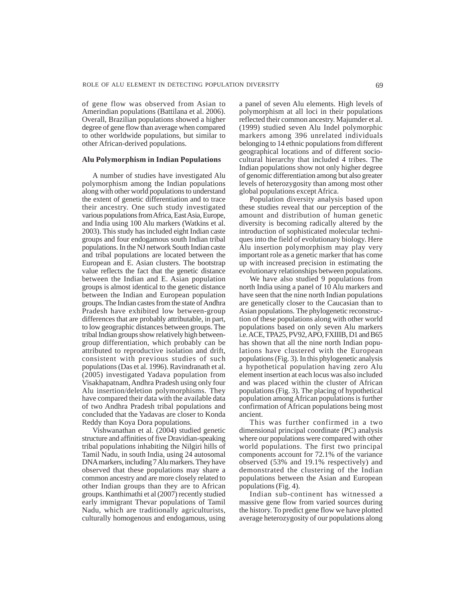of gene flow was observed from Asian to Amerindian populations (Battilana et al. 2006). Overall, Brazilian populations showed a higher degree of gene flow than average when compared to other worldwide populations, but similar to other African-derived populations.

#### **Alu Polymorphism in Indian Populations**

A number of studies have investigated Alu polymorphism among the Indian populations along with other world populations to understand the extent of genetic differentiation and to trace their ancestry. One such study investigated various populations from Africa, East Asia, Europe, and India using 100 Alu markers (Watkins et al. 2003). This study has included eight Indian caste groups and four endogamous south Indian tribal populations. In the NJ network South Indian caste and tribal populations are located between the European and E. Asian clusters. The bootstrap value reflects the fact that the genetic distance between the Indian and E. Asian population groups is almost identical to the genetic distance between the Indian and European population groups. The Indian castes from the state of Andhra Pradesh have exhibited low between-group differences that are probably attributable, in part, to low geographic distances between groups. The tribal Indian groups show relatively high betweengroup differentiation, which probably can be attributed to reproductive isolation and drift, consistent with previous studies of such populations (Das et al. 1996). Ravindranath et al. (2005) investigated Yadava population from Visakhapatnam, Andhra Pradesh using only four Alu insertion/deletion polymorphisms. They have compared their data with the available data of two Andhra Pradesh tribal populations and concluded that the Yadavas are closer to Konda Reddy than Koya Dora populations.

Vishwanathan et al. (2004) studied genetic structure and affinities of five Dravidian-speaking tribal populations inhabiting the Nilgiri hills of Tamil Nadu, in south India, using 24 autosomal DNA markers, including 7 Alu markers. They have observed that these populations may share a common ancestry and are more closely related to other Indian groups than they are to African groups. Kanthimathi et al (2007) recently studied early immigrant Thevar populations of Tamil Nadu, which are traditionally agriculturists, culturally homogenous and endogamous, using

a panel of seven Alu elements. High levels of polymorphism at all loci in their populations reflected their common ancestry. Majumder et al. (1999) studied seven Alu Indel polymorphic markers among 396 unrelated individuals belonging to 14 ethnic populations from different geographical locations and of different sociocultural hierarchy that included 4 tribes. The Indian populations show not only higher degree of genomic differentiation among but also greater levels of heterozygosity than among most other global populations except Africa.

Population diversity analysis based upon these studies reveal that our perception of the amount and distribution of human genetic diversity is becoming radically altered by the introduction of sophisticated molecular techniques into the field of evolutionary biology. Here Alu insertion polymorphism may play very important role as a genetic marker that has come up with increased precision in estimating the evolutionary relationships between populations.

We have also studied 9 populations from north India using a panel of 10 Alu markers and have seen that the nine north Indian populations are genetically closer to the Caucasian than to Asian populations. The phylogenetic reconstruction of these populations along with other world populations based on only seven Alu markers i.e. ACE, TPA25, PV92, APO, FXIIIB, D1 and B65 has shown that all the nine north Indian populations have clustered with the European populations (Fig. 3). In this phylogenetic analysis a hypothetical population having zero Alu element insertion at each locus was also included and was placed within the cluster of African populations (Fig. 3). The placing of hypothetical population among African populations is further confirmation of African populations being most ancient.

This was further confirmed in a two dimensional principal coordinate (PC) analysis where our populations were compared with other world populations. The first two principal components account for 72.1% of the variance observed (53% and 19.1% respectively) and demonstrated the clustering of the Indian populations between the Asian and European populations (Fig. 4).

Indian sub-continent has witnessed a massive gene flow from varied sources during the history. To predict gene flow we have plotted average heterozygosity of our populations along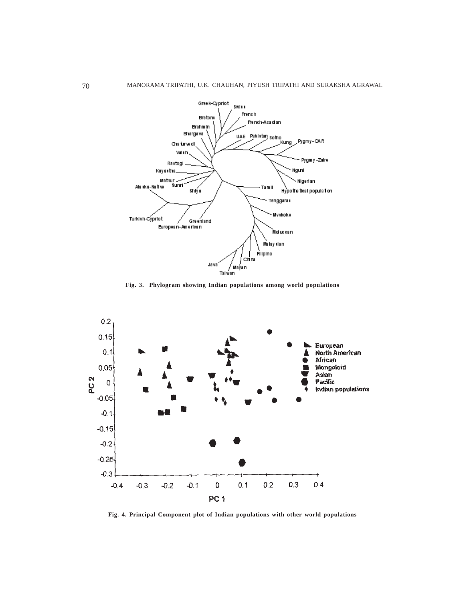

**Fig. 3. Phylogram showing Indian populations among world populations**



**Fig. 4. Principal Component plot of Indian populations with other world populations**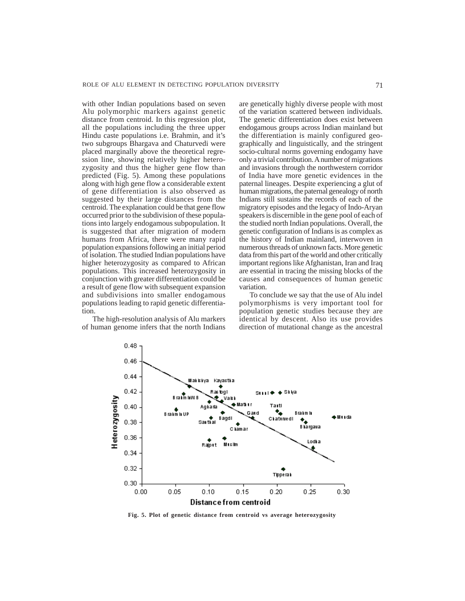with other Indian populations based on seven Alu polymorphic markers against genetic distance from centroid. In this regression plot, all the populations including the three upper Hindu caste populations i.e. Brahmin, and it's two subgroups Bhargava and Chaturvedi were placed marginally above the theoretical regression line, showing relatively higher heterozygosity and thus the higher gene flow than predicted (Fig. 5). Among these populations along with high gene flow a considerable extent of gene differentiation is also observed as suggested by their large distances from the centroid. The explanation could be that gene flow occurred prior to the subdivision of these populations into largely endogamous subpopulation. It is suggested that after migration of modern humans from Africa, there were many rapid population expansions following an initial period of isolation. The studied Indian populations have higher heterozygosity as compared to African populations. This increased heterozygosity in conjunction with greater differentiation could be a result of gene flow with subsequent expansion and subdivisions into smaller endogamous populations leading to rapid genetic differentiation.

The high-resolution analysis of Alu markers of human genome infers that the north Indians are genetically highly diverse people with most of the variation scattered between individuals. The genetic differentiation does exist between endogamous groups across Indian mainland but the differentiation is mainly configured geographically and linguistically, and the stringent socio-cultural norms governing endogamy have only a trivial contribution. A number of migrations and invasions through the northwestern corridor of India have more genetic evidences in the paternal lineages. Despite experiencing a glut of human migrations, the paternal genealogy of north Indians still sustains the records of each of the migratory episodes and the legacy of Indo-Aryan speakers is discernible in the gene pool of each of the studied north Indian populations. Overall, the genetic configuration of Indians is as complex as the history of Indian mainland, interwoven in numerous threads of unknown facts. More genetic data from this part of the world and other critically important regions like Afghanistan, Iran and Iraq are essential in tracing the missing blocks of the causes and consequences of human genetic variation.

To conclude we say that the use of Alu indel polymorphisms is very important tool for population genetic studies because they are identical by descent. Also its use provides direction of mutational change as the ancestral



**Fig. 5. Plot of genetic distance from centroid vs average heterozygosity**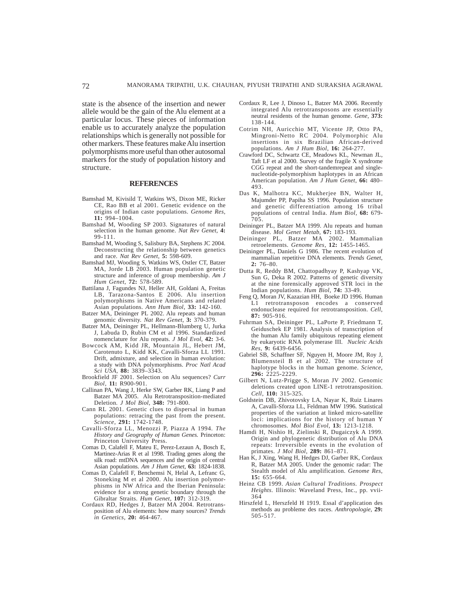state is the absence of the insertion and newer allele would be the gain of the Alu element at a particular locus. These pieces of information enable us to accurately analyze the population relationships which is generally not possible for other markers. These features make Alu insertion polymorphisms more useful than other autosomal markers for the study of population history and structure.

#### **REFERENCES**

- Bamshad M, Kivisild T, Watkins WS, Dixon ME, Ricker CE, Rao BB et al 2001. Genetic evidence on the origins of Indian caste populations. *Genome Res,* **11:** 994–1004.
- Bamshad M, Wooding SP 2003. Signatures of natural selection in the human genome. *Nat Rev Genet*, **4:** 99-111.
- Bamshad M, Wooding S, Salisbury BA, Stephens JC 2004. Deconstructing the relationship between genetics and race. *Nat Rev Genet*, **5:** 598-609.
- Bamshad MJ, Wooding S, Watkins WS, Ostler CT, Batzer MA, Jorde LB 2003. Human population genetic structure and inference of group membership. *Am J Hum Genet*, **72:** 578-589.
- Battilana J, Fagundes NJ, Heller AH, Goldani A, Freitas LB, Tarazona-Santos E 2006. Alu insertion polymorphisms in Native Americans and related Asian populations. *Ann Hum Biol*, **33:** 142-160.
- Batzer MA, Deininger PL 2002. Alu repeats and human genomic diversity. *Nat Rev Genet*, **3:** 370-379.
- Batzer MA, Deininger PL, Hellmann-Blumberg U, Jurka J, Labuda D, Rubin CM et al 1996. Standardized nomenclature for Alu repeats. *J Mol Evol,* **42:** 3-6.
- Bowcock AM, Kidd JR, Mountain JL, Hebert JM, Carotenuto L, Kidd KK, Cavalli-Sforza LL 1991. Drift, admixture, and selection in human evolution: a study with DNA polymorphisms. *Proc Natl Acad Sci USA*, **88:** 3839–3343.
- Brookfield JF 2001. Selection on Alu sequences? *Curr Biol*, **11:** R900-901.
- Callinan PA, Wang J, Herke SW, Garber RK, Liang P and Batzer MA 2005. Alu Retrotransposition-mediated Deletion. *J Mol Biol*, **348:** 791-800.
- Cann RL 2001. Genetic clues to dispersal in human populations: retracing the past from the present. *Science*, **291:** 1742-1748.
- Cavalli-Sforza LL, Menozzi P, Piazza A 1994. *The History and Geography of Human Genes.* Princeton: Princeton University Press.
- Comas D, Calafell F, Mateu E, Perez-Lezaun A, Bosch E, Martinez-Arias R et al 1998. Trading genes along the silk road: mtDNA sequences and the origin of central Asian populations. *Am J Hum Genet*, **63:** 1824-1838.
- Comas D, Calafell F, Benchemsi N, Helal A, Lefranc G, Stoneking M et al 2000. Alu insertion polymorphisms in NW Africa and the Iberian Peninsula: evidence for a strong genetic boundary through the Gibraltar Straits. *Hum Genet*, **107:** 312-319.
- Cordaux RD, Hedges J, Batzer MA 2004. Retrotransposition of Alu elements: how many sources? *Trends in Genetics*, **20:** 464-467.
- Cordaux R, Lee J, Dinoso L, Batzer MA 2006. Recently integrated Alu retrotransposons are essentially neutral residents of the human genome. *Gene*, **373:** 138-144.
- Cotrim NH, Auricchio MT, Vicente JP, Otto PA, Mingroni-Netto RC 2004. Polymorphic Alu insertions in six Brazilian African-derived populations. *Am J Hum Biol*, **16:** 264-277.
- Crawford DC, Schwartz CE, Meadows KL, Newman JL, Taft LF et al 2000. Survey of the fragile X syndrome CGG repeat and the short-tandemrepeat and singlenucleotide-polymorphism haplotypes in an African American population. *Am J Hum Genet*, **66:** 480– 493.
- Das K, Malhotra KC, Mukherjee BN, Walter H, Majumder PP, Papiha SS 1996. Population structure and genetic differentiation among 16 tribal populations of central India. *Hum Biol,* **68:** 679- 705.
- Deininger PL, Batzer MA 1999. Alu repeats and human disease. *Mol Genet Metab*, **67:** 183-193.
- Deininger PL, Batzer MA 2002. Mammalian retroelements. *Genome Res*, **12:** 1455-1465.
- Deininger PL, Daniels G 1986. The recent evolution of mammalian repetitive DNA elements. *Trends Genet*, **2:** 76–80.
- Dutta R, Reddy BM, Chattopadhyay P, Kashyap VK, Sun G, Deka R 2002. Patterns of genetic diversity at the nine forensically approved STR loci in the Indian populations. *Hum Biol*, **74:** 33-49.
- Feng Q, Moran JV, Kazazian HH, Boeke JD 1996. Human L1 retrotransposon encodes a conserved endonuclease required for retrotransposition. *Cell*, **87:** 905-916.
- Fuhrman SA, Deininger PL, LaPorte P, Friedmann T, Geiduschek EP 1981. Analysis of transcription of the human Alu family ubiquitous repeating element by eukaryotic RNA polymerase III. *Nucleic Acids Res*, **9:** 6439-6456.
- Gabriel SB, Schaffner SF, Nguyen H, Moore JM, Roy J, Blumensteil B et al 2002. The structure of haplotype blocks in the human genome. *Science*, **296:** 2225-2229.
- Gilbert N, Lutz-Prigge S, Moran JV 2002. Genomic deletions created upon LINE-1 retrotransposition. *Cell*, **110:** 315-325.
- Goldstein DB, Zhivotovsky LA, Nayar K, Ruiz Linares A, Cavalli-Sforza LL, Feldman MW 1996. Statistical properties of the variation at linked micro-satellite loci: implications for the history of human Y chromosomes. *Mol Biol Evol*, **13:** 1213-1218.
- Hamdi H, Nishio H, Zielinski R, Dugaiczyk A 1999. Origin and phylogenetic distribution of Alu DNA repeats: Irreversible events in the evolution of primates. *J Mol Biol*, **289:** 861–871.
- Han K, J Xing, Wang H, Hedges DJ, Garber RK, Cordaux R, Batzer MA 2005. Under the genomic radar: The Stealth model of Alu amplification. *Genome Res*, **15:** 655-664.
- Heinz CB 1999. *Asian Cultural Traditions. Prospect Heights.* Illinois: Waveland Press, Inc., pp. vvii-364
- Hirszfeld L, Herszfeld H 1919. Essal d'application des methods au probleme des races. *Anthropologie*, **29:** 505-517.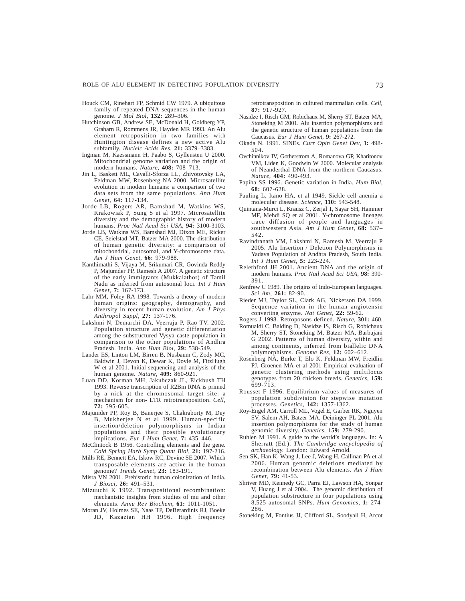- Houck CM, Rinehart FP, Schmid CW 1979. A ubiquitous family of repeated DNA sequences in the human genome. *J Mol Biol,* **132:** 289–306.
- Hutchinson GB, Andrew SE, McDonald H, Goldberg YP, Graharn R, Rommens JR, Hayden MR 1993. An Alu element retroposition in two families with Huntington disease defines a new active Alu subfamily. *Nucleic Acids Res*, **21:** 3379–3383.
- Ingman M, Kaessmann H, Paabo S, Gyllensten U 2000. Mitochondrial genome variation and the origin of modern humans. *Nature*, **408:** 708–713.
- Jin L, Baskett ML, Cavalli-Sforza LL, Zhivotovsky LA, Feldman MW, Rosenberg NA 2000. Microsatellite evolution in modern humans: a comparison of two data sets from the same populations. *Ann Hum Genet*, **64:** 117-134.
- Jorde LB, Rogers AR, Bamshad M, Watkins WS, Krakowiak P, Sung S et al 1997. Microsatellite diversity and the demographic history of modern humans. *Proc Natl Acad Sci USA*, **94:** 3100-3103.
- Jorde LB, Watkins WS, Bamshad MJ, Dixon ME, Ricker CE, Seielstad MT, Batzer MA 2000. The distribution of human genetic diversity: a comparison of mitochondrial, autosomal, and Y-chromosome data. *Am J Hum Genet*, **66:** 979-988.
- Kanthimathi S, Vijaya M, Srikumari CR, Govinda Reddy P, Majumder PP, Ramesh A 2007. A genetic structure of the early immigrants (Mukkalathor) of Tamil Nadu as inferred from autosomal loci. *Int J Hum Genet*, **7:** 167-173.
- Lahr MM, Foley RA 1998. Towards a theory of modern human origins: geography, demography, and diversity in recent human evolution. *Am J Phys Anthropol Suppl*, **27:** 137-176.
- Lakshmi N, Demarchi DA, Veerraju P, Rao TV. 2002. Population structure and genetic differentiation among the substructured Vysya caste population in comparison to the other populations of Andhra Pradesh. India. *Ann Hum Biol*, **29:** 538-549.
- Lander ES, Linton LM, Birren B, Nusbaum C, Zody MC, Baldwin J, Devon K, Dewar K, Doyle M, FitzHugh W et al 2001. Initial sequencing and analysis of the human genome. *Nature*, **409:** 860-921.
- Luan DD, Korman MH, Jakubczak JL, Eickbush TH 1993. Reverse transcription of R2Bm RNA is primed by a nick at the chromosomal target site: a mechanism for non- LTR retrotransposition. *Cell*, **72:** 595-605.
- Majumder PP, Roy B, Banerjee S, Chakraborty M, Dey B, Mukherjee N et al 1999. Human-specific insertion/deletion polymorphisms in Indian populations and their possible evolutionary implications. *Eur J Hum Genet*, **7:** 435–446.
- McClintock B 1956. Controlling elements and the gene. *Cold Spring Harb Symp Quant Biol*, **21:** 197-216.
- Mills RE, Bennett EA, Iskow RC, Devine SE 2007. Which transposable elements are active in the human genome? *Trends Genet*, **23:** 183-191.
- Misra VN 2001. Prehistoric human colonization of India. *J Biosci*, **26:** 491–531.
- Mizuuchi K 1992. Transpositional recombination: mechanistic insights from studies of mu and other elements. *Annu Rev Biochem*, **61:** 1011-1051.
- Moran JV, Holmes SE, Naas TP, DeBerardinis RJ, Boeke JD, Kazazian HH 1996. High frequency

retrotransposition in cultured mammalian cells. *Cell*, **87:** 917-927.

- Nasidze I, Risch GM, Robichaux M, Sherry ST, Batzer MA, Stoneking M 2001. Alu insertion polymorphisms and the genetic structure of human populations from the Caucasus. *Eur J Hum Genet*, **9:** 267-272.
- Okada N. 1991. SINEs. *Curr Opin Genet Dev*, **1:** 498- 504.
- Ovchinnikov IV, Gotherstrom A, Romanova GP, Kharitonov VM, Liden K, Goodwin W 2000. Molecular analysis of Neanderthal DNA from the northern Caucasus. *Nature*, **404:** 490-493.
- Papiha SS 1996. Genetic variation in India. *Hum Biol*, **68:** 607-628.
- Pauling L, Itano HA, et al 1949. Sickle cell anemia a molecular disease. *Science*, **110:** 543-548.
- Quintana-Murci L, Krausz C, Zerjal T, Sayar SH, Hammer MF, Mehdi SQ et al 2001. Y-chromosome lineages trace diffusion of people and languages in southwestern Asia. *Am J Hum Genet*, **68:** 537– 542.
- Ravindranath VM, Lakshmi N, Ramesh M, Veerraju P 2005. Alu Insertion / Deletion Polymorphisms in Yadava Population of Andhra Pradesh, South India. *Int J Hum Genet*, **5:** 223-224.
- Relethford JH 2001. Ancient DNA and the origin of modern humans. *Proc Natl Acad Sci USA*, **98:** 390- 391.
- Renfrew C 1989. The origins of Indo-European languages. *Sci Am*, **261:** 82-90.
- Rieder MJ, Taylor SL, Clark AG, Nickerson DA 1999. Sequence variation in the human angiotensin converting enzyme. *Nat Genet*, **22:** 59-62.
- Rogers J 1998. Retroposons defined. *Nature*, **301:** 460. Romualdi C, Balding D, Nasidze IS, Risch G, Robichaux M, Sherry ST, Stoneking M, Batzer MA, Barbujani
- G 2002. Patterns of human diversity, within and among continents, inferred from biallelic DNA polymorphisms. *Genome Res*, **12:** 602–612.
- Rosenberg NA, Burke T, Elo K, Feldman MW, Freidlin PJ, Groenen MA et al 2001 Empirical evaluation of genetic clustering methods using multilocus genotypes from 20 chicken breeds. *Genetics*, **159:** 699-713.
- Rousset F 1996. Equilibrium values of measures of population subdivision for stepwise mutation processes. *Genetics*, **142:** 1357-1362.
- Roy-Engel AM, Carroll ML, Vogel E, Garber RK, Nguyen SV, Salem AH, Batzer MA, Deininger PL 2001. Alu insertion polymorphisms for the study of human genomic diversity. *Genetics*, **159:** 279-290.
- Ruhlen M 1991. A guide to the world's languages. In: A Sherratt (Ed.). *The Cambridge encyclopedia of archaeology.* London: Edward Arnold.
- Sen SK, Han K, Wang J, Lee J, Wang H, Callinan PA et al 2006. Human genomic deletions mediated by recombination between Alu elements. *Am J Hum Genet*, **79:** 41-53.
- Shriver MD, Kennedy GC, Parra EJ, Lawson HA, Sonpar V, Huang J et al 2004. The genomic distribution of population substructure in four populations using 8,525 autosomal SNPs. *Hum Genomics*, **1:** 274- 286.
- Stoneking M, Fontius JJ, Clifford SL, Soodyall H, Arcot